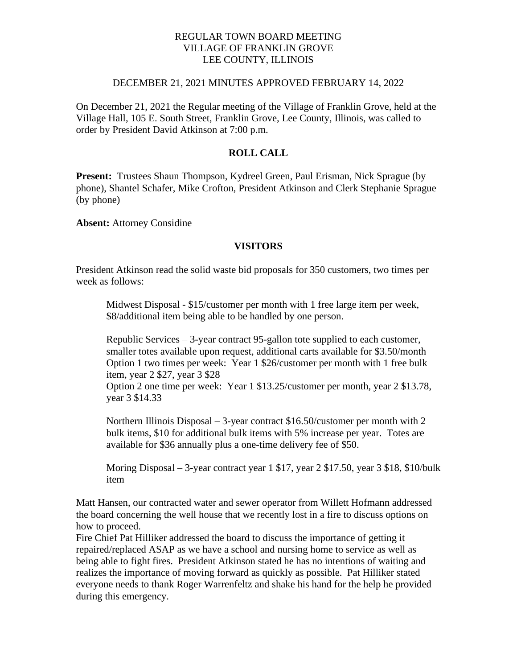# REGULAR TOWN BOARD MEETING VILLAGE OF FRANKLIN GROVE LEE COUNTY, ILLINOIS

## DECEMBER 21, 2021 MINUTES APPROVED FEBRUARY 14, 2022

On December 21, 2021 the Regular meeting of the Village of Franklin Grove, held at the Village Hall, 105 E. South Street, Franklin Grove, Lee County, Illinois, was called to order by President David Atkinson at 7:00 p.m.

# **ROLL CALL**

**Present:** Trustees Shaun Thompson, Kydreel Green, Paul Erisman, Nick Sprague (by phone), Shantel Schafer, Mike Crofton, President Atkinson and Clerk Stephanie Sprague (by phone)

**Absent:** Attorney Considine

## **VISITORS**

President Atkinson read the solid waste bid proposals for 350 customers, two times per week as follows:

Midwest Disposal - \$15/customer per month with 1 free large item per week, \$8/additional item being able to be handled by one person.

Republic Services – 3-year contract 95-gallon tote supplied to each customer, smaller totes available upon request, additional carts available for \$3.50/month Option 1 two times per week: Year 1 \$26/customer per month with 1 free bulk item, year 2 \$27, year 3 \$28

Option 2 one time per week: Year 1 \$13.25/customer per month, year 2 \$13.78, year 3 \$14.33

Northern Illinois Disposal – 3-year contract \$16.50/customer per month with 2 bulk items, \$10 for additional bulk items with 5% increase per year. Totes are available for \$36 annually plus a one-time delivery fee of \$50.

Moring Disposal – 3-year contract year 1 \$17, year 2 \$17.50, year 3 \$18, \$10/bulk item

Matt Hansen, our contracted water and sewer operator from Willett Hofmann addressed the board concerning the well house that we recently lost in a fire to discuss options on how to proceed.

Fire Chief Pat Hilliker addressed the board to discuss the importance of getting it repaired/replaced ASAP as we have a school and nursing home to service as well as being able to fight fires. President Atkinson stated he has no intentions of waiting and realizes the importance of moving forward as quickly as possible. Pat Hilliker stated everyone needs to thank Roger Warrenfeltz and shake his hand for the help he provided during this emergency.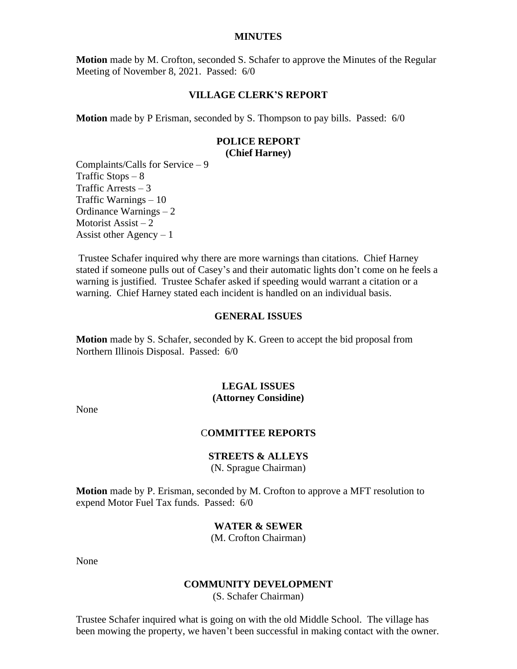#### **MINUTES**

**Motion** made by M. Crofton, seconded S. Schafer to approve the Minutes of the Regular Meeting of November 8, 2021. Passed: 6/0

#### **VILLAGE CLERK'S REPORT**

**Motion** made by P Erisman, seconded by S. Thompson to pay bills. Passed: 6/0

# **POLICE REPORT**

**(Chief Harney)**

Complaints/Calls for Service – 9 Traffic Stops  $-8$ Traffic Arrests  $-3$ Traffic Warnings – 10 Ordinance Warnings – 2 Motorist Assist  $-2$ Assist other Agency  $-1$ 

Trustee Schafer inquired why there are more warnings than citations. Chief Harney stated if someone pulls out of Casey's and their automatic lights don't come on he feels a warning is justified. Trustee Schafer asked if speeding would warrant a citation or a warning. Chief Harney stated each incident is handled on an individual basis.

## **GENERAL ISSUES**

**Motion** made by S. Schafer, seconded by K. Green to accept the bid proposal from Northern Illinois Disposal. Passed: 6/0

#### **LEGAL ISSUES (Attorney Considine)**

None

# C**OMMITTEE REPORTS**

#### **STREETS & ALLEYS**

(N. Sprague Chairman)

**Motion** made by P. Erisman, seconded by M. Crofton to approve a MFT resolution to expend Motor Fuel Tax funds. Passed: 6/0

# **WATER & SEWER**

(M. Crofton Chairman)

None

#### **COMMUNITY DEVELOPMENT**

(S. Schafer Chairman)

Trustee Schafer inquired what is going on with the old Middle School. The village has been mowing the property, we haven't been successful in making contact with the owner.